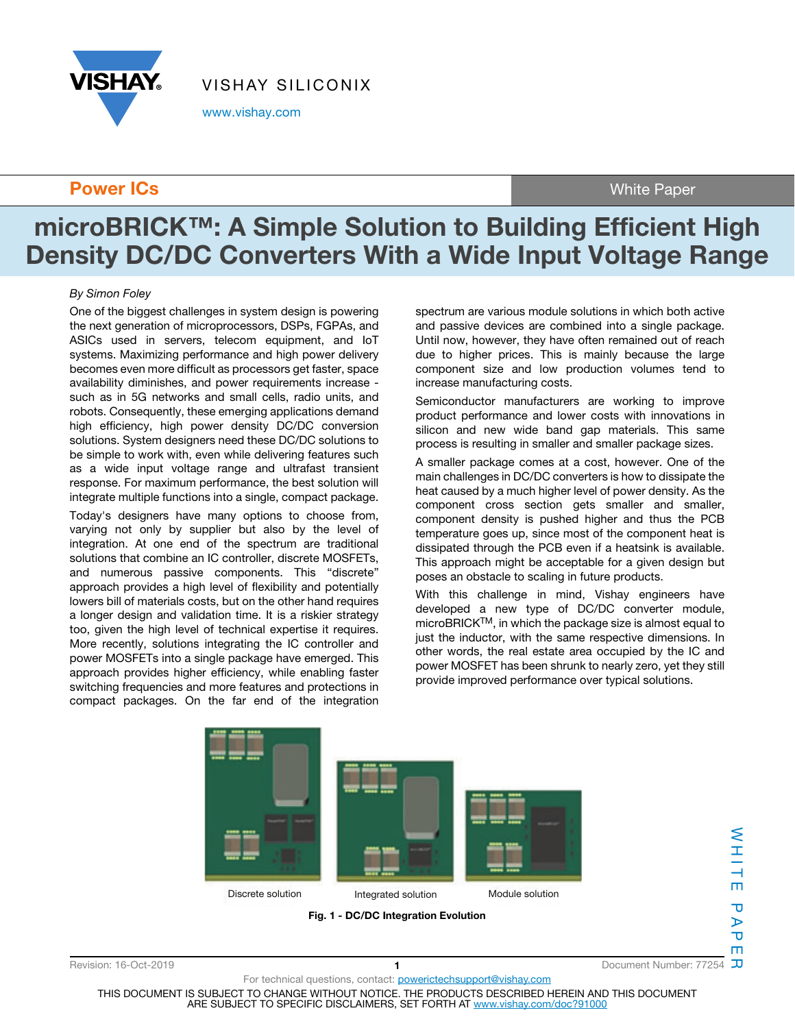

www.vishay.com

### **Power ICs** White Paper

# **microBRICK™: A Simple Solution to Building Efficient High Density DC/DC Converters With a Wide Input Voltage Range**

#### By Simon Foley

One of the biggest challenges in system design is powering the next generation of microprocessors, DSPs, FGPAs, and ASICs used in servers, telecom equipment, and IoT systems. Maximizing performance and high power delivery becomes even more difficult as processors get faster, space availability diminishes, and power requirements increase such as in 5G networks and small cells, radio units, and robots. Consequently, these emerging applications demand high efficiency, high power density DC/DC conversion solutions. System designers need these DC/DC solutions to be simple to work with, even while delivering features such as a wide input voltage range and ultrafast transient response. For maximum performance, the best solution will integrate multiple functions into a single, compact package.

Today's designers have many options to choose from, varying not only by supplier but also by the level of integration. At one end of the spectrum are traditional solutions that combine an IC controller, discrete MOSFETs, and numerous passive components. This "discrete" approach provides a high level of flexibility and potentially lowers bill of materials costs, but on the other hand requires a longer design and validation time. It is a riskier strategy too, given the high level of technical expertise it requires. More recently, solutions integrating the IC controller and power MOSFETs into a single package have emerged. This approach provides higher efficiency, while enabling faster switching frequencies and more features and protections in compact packages. On the far end of the integration

spectrum are various module solutions in which both active and passive devices are combined into a single package. Until now, however, they have often remained out of reach due to higher prices. This is mainly because the large component size and low production volumes tend to increase manufacturing costs.

Semiconductor manufacturers are working to improve product performance and lower costs with innovations in silicon and new wide band gap materials. This same process is resulting in smaller and smaller package sizes.

A smaller package comes at a cost, however. One of the main challenges in DC/DC converters is how to dissipate the heat caused by a much higher level of power density. As the component cross section gets smaller and smaller, component density is pushed higher and thus the PCB temperature goes up, since most of the component heat is dissipated through the PCB even if a heatsink is available. This approach might be acceptable for a given design but poses an obstacle to scaling in future products.

With this challenge in mind, Vishay engineers have developed a new type of DC/DC converter module, microBRICKTM, in which the package size is almost equal to just the inductor, with the same respective dimensions. In other words, the real estate area occupied by the IC and power MOSFET has been shrunk to nearly zero, yet they still provide improved performance over typical solutions.



 $\mathbf{T}$ 

Revision: 16-Oct-2019 **1** Document Number: 77254

THIS DOCUMENT IS SUBJECT TO CHANGE WITHOUT NOTICE. THE PRODUCTS DESCRIBED HEREIN AND THIS DOCUMENT ARE SUBJECT TO SPECIFIC DISCLAIMERS, SET FORTH AT www.vishay.com/doc?91000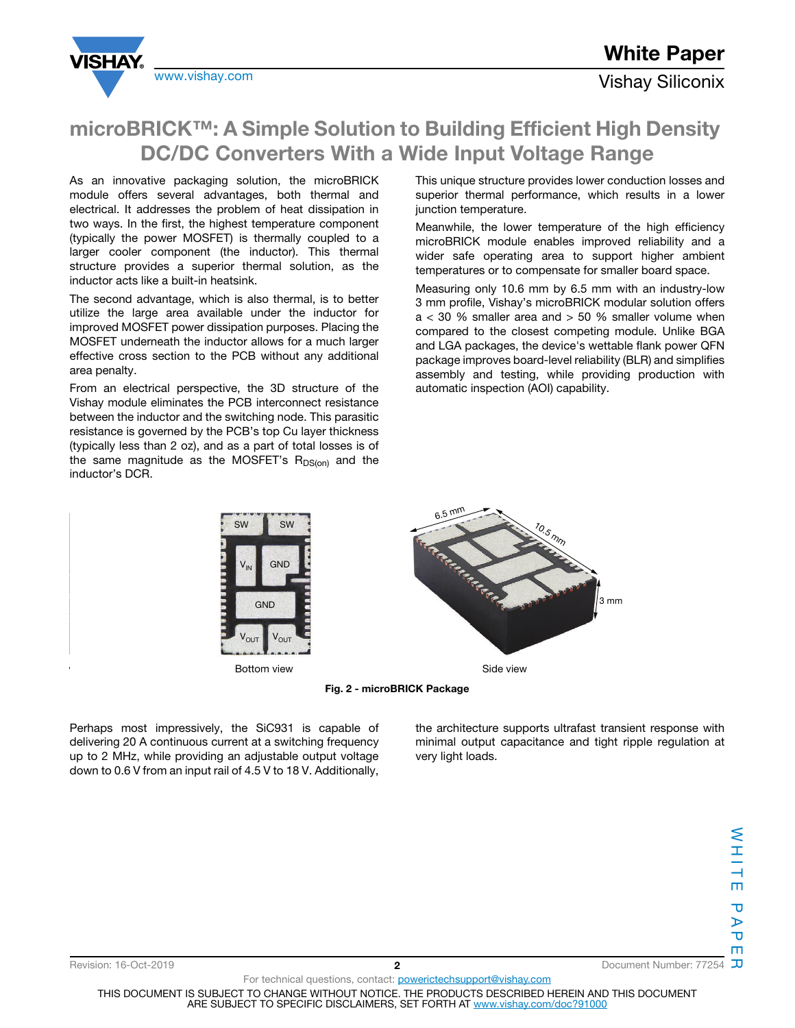



## www.vishay.com **Vishay.com** Vishay Siliconix

## **microBRICK™: A Simple Solution to Building Efficient High Density DC/DC Converters With a Wide Input Voltage Range**

As an innovative packaging solution, the microBRICK module offers several advantages, both thermal and electrical. It addresses the problem of heat dissipation in two ways. In the first, the highest temperature component (typically the power MOSFET) is thermally coupled to a larger cooler component (the inductor). This thermal structure provides a superior thermal solution, as the inductor acts like a built-in heatsink.

The second advantage, which is also thermal, is to better utilize the large area available under the inductor for improved MOSFET power dissipation purposes. Placing the MOSFET underneath the inductor allows for a much larger effective cross section to the PCB without any additional area penalty.

From an electrical perspective, the 3D structure of the Vishay module eliminates the PCB interconnect resistance between the inductor and the switching node. This parasitic resistance is governed by the PCB's top Cu layer thickness (typically less than 2 oz), and as a part of total losses is of the same magnitude as the MOSFET's  $R_{DS(0n)}$  and the inductor's DCR.

This unique structure provides lower conduction losses and superior thermal performance, which results in a lower junction temperature.

Meanwhile, the lower temperature of the high efficiency microBRICK module enables improved reliability and a wider safe operating area to support higher ambient temperatures or to compensate for smaller board space.

Measuring only 10.6 mm by 6.5 mm with an industry-low 3 mm profile, Vishay's microBRICK modular solution offers  $a < 30$  % smaller area and  $> 50$  % smaller volume when compared to the closest competing module. Unlike BGA and LGA packages, the device's wettable flank power QFN package improves board-level reliability (BLR) and simplifies assembly and testing, while providing production with automatic inspection (AOI) capability.



**Fig. 2 - microBRICK Package**

Perhaps most impressively, the SiC931 is capable of delivering 20 A continuous current at a switching frequency up to 2 MHz, while providing an adjustable output voltage down to 0.6 V from an input rail of 4.5 V to 18 V. Additionally,

the architecture supports ultrafast transient response with minimal output capacitance and tight ripple regulation at very light loads.